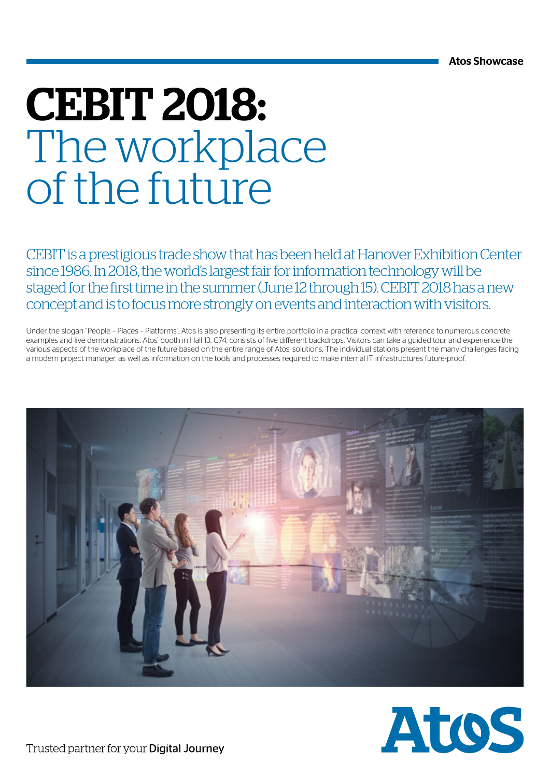## CEBIT 2018: The workplace of the future

CEBIT is a prestigious trade show that has been held at Hanover Exhibition Center since 1986. In 2018, the world's largest fair for information technology will be staged for the first time in the summer (June 12 through 15). CEBIT 2018 has a new concept and is to focus more strongly on events and interaction with visitors.

Under the slogan "People – Places – Platforms", Atos is also presenting its entire portfolio in a practical context with reference to numerous concrete examples and live demonstrations. Atos' booth in Hall 13, C74, consists of five different backdrops. Visitors can take a guided tour and experience the various aspects of the workplace of the future based on the entire range of Atos' solutions. The individual stations present the many challenges facing a modern project manager, as well as information on the tools and processes required to make internal IT infrastructures future-proof.